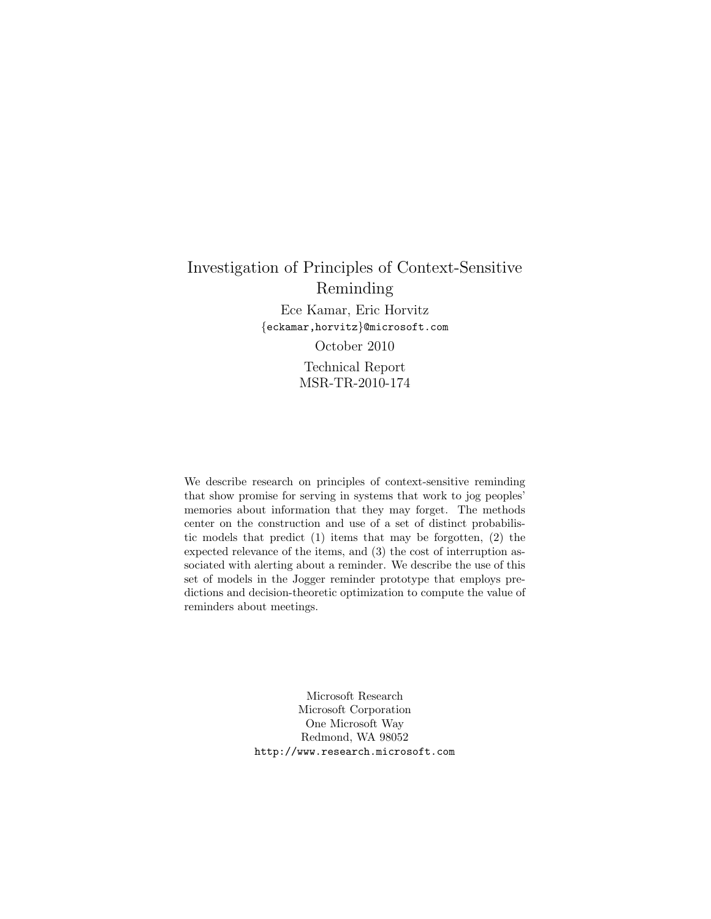# Investigation of Principles of Context-Sensitive Reminding Ece Kamar, Eric Horvitz {eckamar,horvitz}@microsoft.com October 2010 Technical Report MSR-TR-2010-174

We describe research on principles of context-sensitive reminding that show promise for serving in systems that work to jog peoples' memories about information that they may forget. The methods center on the construction and use of a set of distinct probabilistic models that predict (1) items that may be forgotten, (2) the expected relevance of the items, and (3) the cost of interruption associated with alerting about a reminder. We describe the use of this set of models in the Jogger reminder prototype that employs predictions and decision-theoretic optimization to compute the value of reminders about meetings.

> Microsoft Research Microsoft Corporation One Microsoft Way Redmond, WA 98052 http://www.research.microsoft.com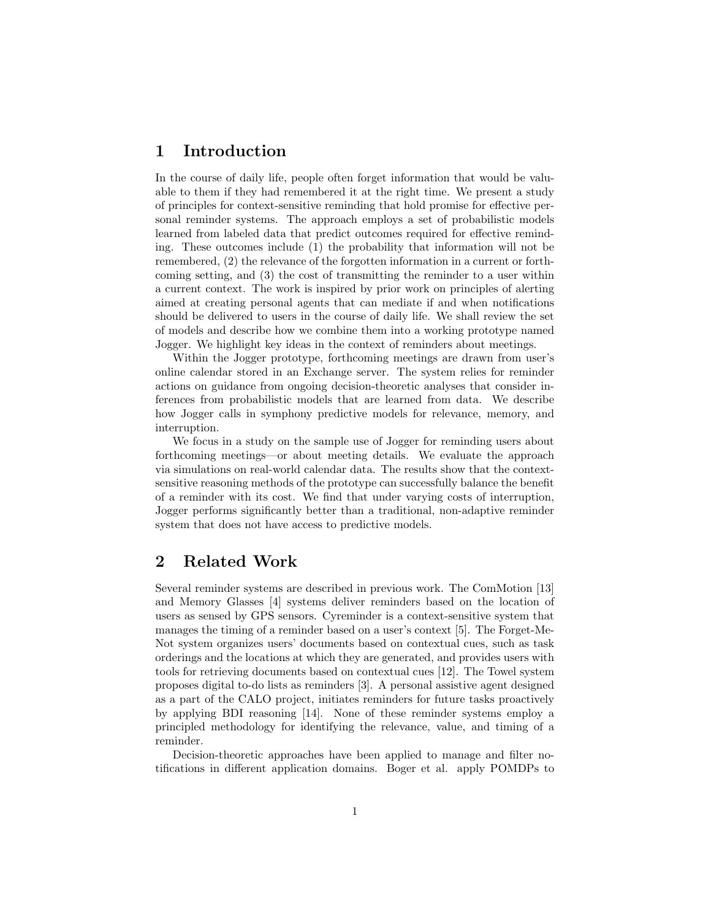## 1 Introduction

In the course of daily life, people often forget information that would be valuable to them if they had remembered it at the right time. We present a study of principles for context-sensitive reminding that hold promise for effective personal reminder systems. The approach employs a set of probabilistic models learned from labeled data that predict outcomes required for effective reminding. These outcomes include (1) the probability that information will not be remembered, (2) the relevance of the forgotten information in a current or forthcoming setting, and (3) the cost of transmitting the reminder to a user within a current context. The work is inspired by prior work on principles of alerting aimed at creating personal agents that can mediate if and when notifications should be delivered to users in the course of daily life. We shall review the set of models and describe how we combine them into a working prototype named Jogger. We highlight key ideas in the context of reminders about meetings.

Within the Jogger prototype, forthcoming meetings are drawn from user's online calendar stored in an Exchange server. The system relies for reminder actions on guidance from ongoing decision-theoretic analyses that consider inferences from probabilistic models that are learned from data. We describe how Jogger calls in symphony predictive models for relevance, memory, and interruption.

We focus in a study on the sample use of Jogger for reminding users about forthcoming meetings—or about meeting details. We evaluate the approach via simulations on real-world calendar data. The results show that the contextsensitive reasoning methods of the prototype can successfully balance the benefit of a reminder with its cost. We find that under varying costs of interruption, Jogger performs significantly better than a traditional, non-adaptive reminder system that does not have access to predictive models.

# 2 Related Work

Several reminder systems are described in previous work. The ComMotion [13] and Memory Glasses [4] systems deliver reminders based on the location of users as sensed by GPS sensors. Cyreminder is a context-sensitive system that manages the timing of a reminder based on a user's context [5]. The Forget-Me-Not system organizes users' documents based on contextual cues, such as task orderings and the locations at which they are generated, and provides users with tools for retrieving documents based on contextual cues [12]. The Towel system proposes digital to-do lists as reminders [3]. A personal assistive agent designed as a part of the CALO project, initiates reminders for future tasks proactively by applying BDI reasoning [14]. None of these reminder systems employ a principled methodology for identifying the relevance, value, and timing of a reminder.

Decision-theoretic approaches have been applied to manage and filter notifications in different application domains. Boger et al. apply POMDPs to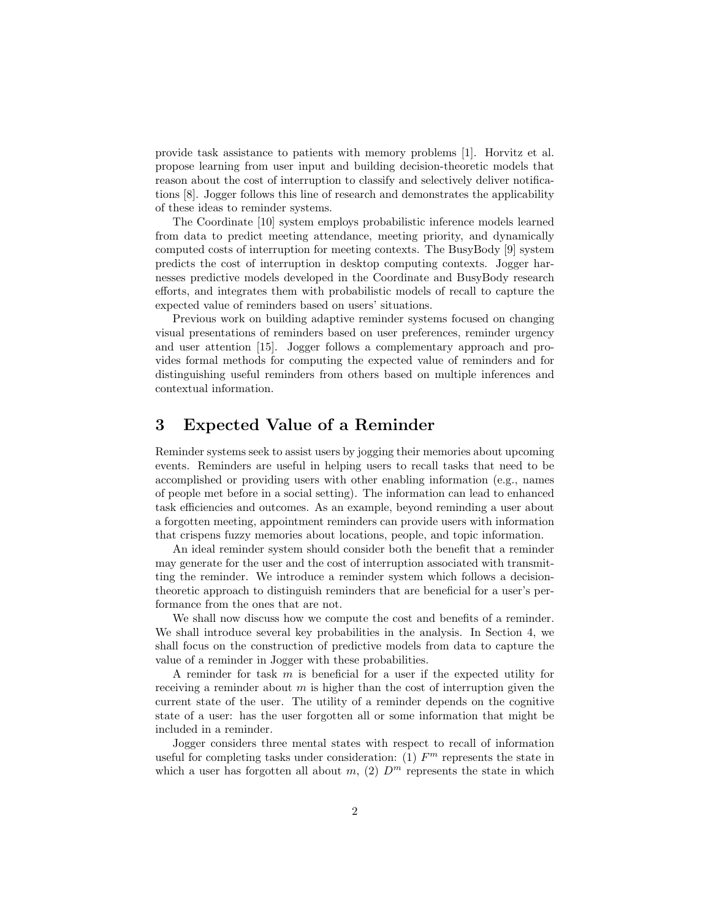provide task assistance to patients with memory problems [1]. Horvitz et al. propose learning from user input and building decision-theoretic models that reason about the cost of interruption to classify and selectively deliver notifications [8]. Jogger follows this line of research and demonstrates the applicability of these ideas to reminder systems.

The Coordinate [10] system employs probabilistic inference models learned from data to predict meeting attendance, meeting priority, and dynamically computed costs of interruption for meeting contexts. The BusyBody [9] system predicts the cost of interruption in desktop computing contexts. Jogger harnesses predictive models developed in the Coordinate and BusyBody research efforts, and integrates them with probabilistic models of recall to capture the expected value of reminders based on users' situations.

Previous work on building adaptive reminder systems focused on changing visual presentations of reminders based on user preferences, reminder urgency and user attention [15]. Jogger follows a complementary approach and provides formal methods for computing the expected value of reminders and for distinguishing useful reminders from others based on multiple inferences and contextual information.

## 3 Expected Value of a Reminder

Reminder systems seek to assist users by jogging their memories about upcoming events. Reminders are useful in helping users to recall tasks that need to be accomplished or providing users with other enabling information (e.g., names of people met before in a social setting). The information can lead to enhanced task efficiencies and outcomes. As an example, beyond reminding a user about a forgotten meeting, appointment reminders can provide users with information that crispens fuzzy memories about locations, people, and topic information.

An ideal reminder system should consider both the benefit that a reminder may generate for the user and the cost of interruption associated with transmitting the reminder. We introduce a reminder system which follows a decisiontheoretic approach to distinguish reminders that are beneficial for a user's performance from the ones that are not.

We shall now discuss how we compute the cost and benefits of a reminder. We shall introduce several key probabilities in the analysis. In Section 4, we shall focus on the construction of predictive models from data to capture the value of a reminder in Jogger with these probabilities.

A reminder for task  $m$  is beneficial for a user if the expected utility for receiving a reminder about  $m$  is higher than the cost of interruption given the current state of the user. The utility of a reminder depends on the cognitive state of a user: has the user forgotten all or some information that might be included in a reminder.

Jogger considers three mental states with respect to recall of information useful for completing tasks under consideration: (1)  $F<sup>m</sup>$  represents the state in which a user has forgotten all about m, (2)  $D^m$  represents the state in which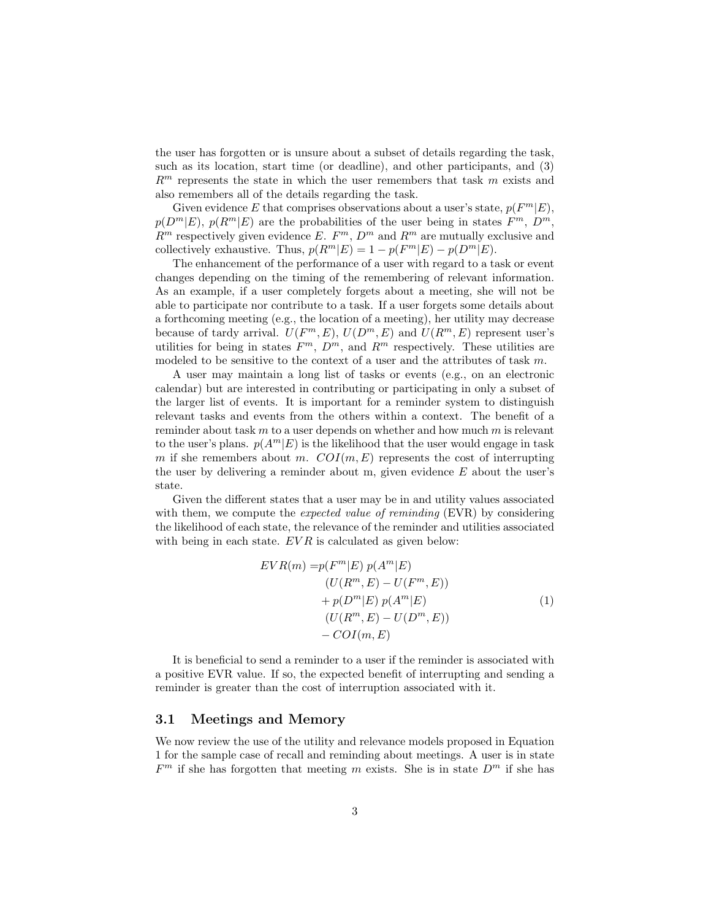the user has forgotten or is unsure about a subset of details regarding the task, such as its location, start time (or deadline), and other participants, and (3)  $R<sup>m</sup>$  represents the state in which the user remembers that task m exists and also remembers all of the details regarding the task.

Given evidence E that comprises observations about a user's state,  $p(F^m|E)$ ,  $p(D^m|E)$ ,  $p(R^m|E)$  are the probabilities of the user being in states  $F^m$ ,  $D^m$ ,  $R^m$  respectively given evidence E.  $F^m$ ,  $D^m$  and  $R^m$  are mutually exclusive and collectively exhaustive. Thus,  $p(R^m|E) = 1 - p(F^m|E) - p(D^m|E)$ .

The enhancement of the performance of a user with regard to a task or event changes depending on the timing of the remembering of relevant information. As an example, if a user completely forgets about a meeting, she will not be able to participate nor contribute to a task. If a user forgets some details about a forthcoming meeting (e.g., the location of a meeting), her utility may decrease because of tardy arrival.  $U(F^m, E), U(D^m, E)$  and  $U(R^m, E)$  represent user's utilities for being in states  $F^m$ ,  $D^m$ , and  $R^m$  respectively. These utilities are modeled to be sensitive to the context of a user and the attributes of task m.

A user may maintain a long list of tasks or events (e.g., on an electronic calendar) but are interested in contributing or participating in only a subset of the larger list of events. It is important for a reminder system to distinguish relevant tasks and events from the others within a context. The benefit of a reminder about task  $m$  to a user depends on whether and how much  $m$  is relevant to the user's plans.  $p(A^m|E)$  is the likelihood that the user would engage in task m if she remembers about m.  $COI(m, E)$  represents the cost of interrupting the user by delivering a reminder about m, given evidence  $E$  about the user's state.

Given the different states that a user may be in and utility values associated with them, we compute the *expected value of reminding* (EVR) by considering the likelihood of each state, the relevance of the reminder and utilities associated with being in each state.  $EVR$  is calculated as given below:

$$
EVR(m) = p(Fm|E) p(Am|E)
$$
  
\n
$$
(U(Rm, E) - U(Fm, E))
$$
  
\n
$$
+ p(Dm|E) p(Am|E)
$$
  
\n
$$
(U(Rm, E) - U(Dm, E))
$$
  
\n
$$
- COI(m, E)
$$
\n(1)

It is beneficial to send a reminder to a user if the reminder is associated with a positive EVR value. If so, the expected benefit of interrupting and sending a reminder is greater than the cost of interruption associated with it.

#### 3.1 Meetings and Memory

We now review the use of the utility and relevance models proposed in Equation 1 for the sample case of recall and reminding about meetings. A user is in state  $F<sup>m</sup>$  if she has forgotten that meeting m exists. She is in state  $D<sup>m</sup>$  if she has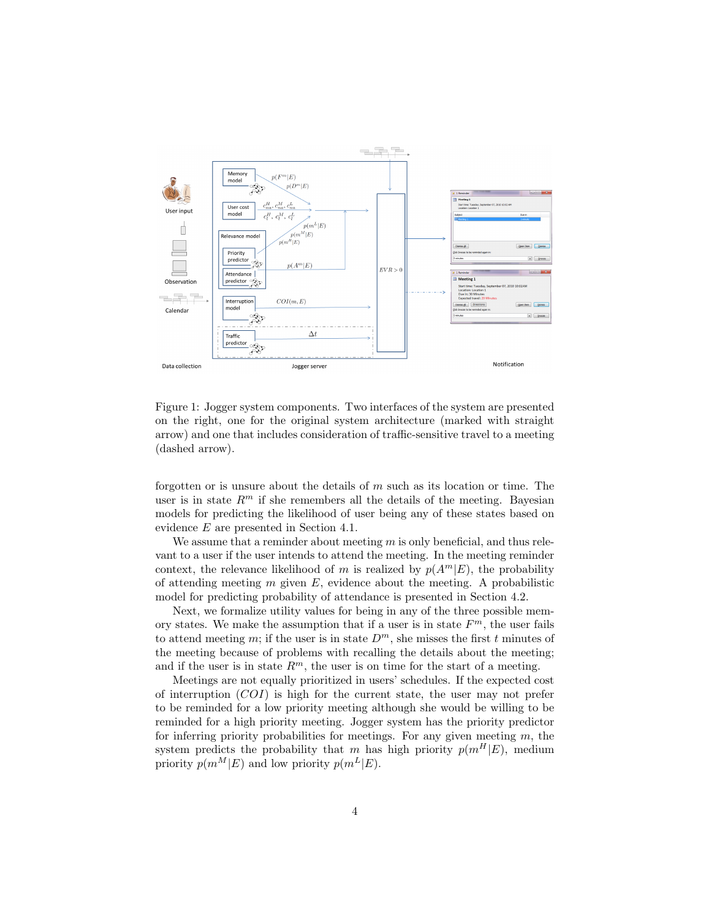

Figure 1: Jogger system components. Two interfaces of the system are presented on the right, one for the original system architecture (marked with straight arrow) and one that includes consideration of traffic-sensitive travel to a meeting (dashed arrow).

forgotten or is unsure about the details of  $m$  such as its location or time. The user is in state  $R<sup>m</sup>$  if she remembers all the details of the meeting. Bayesian models for predicting the likelihood of user being any of these states based on evidence E are presented in Section 4.1.

We assume that a reminder about meeting  $m$  is only beneficial, and thus relevant to a user if the user intends to attend the meeting. In the meeting reminder context, the relevance likelihood of m is realized by  $p(A^m|E)$ , the probability of attending meeting  $m$  given  $E$ , evidence about the meeting. A probabilistic model for predicting probability of attendance is presented in Section 4.2.

Next, we formalize utility values for being in any of the three possible memory states. We make the assumption that if a user is in state  $F<sup>m</sup>$ , the user fails to attend meeting m; if the user is in state  $D<sup>m</sup>$ , she misses the first t minutes of the meeting because of problems with recalling the details about the meeting; and if the user is in state  $R^m$ , the user is on time for the start of a meeting.

Meetings are not equally prioritized in users' schedules. If the expected cost of interruption  $(COI)$  is high for the current state, the user may not prefer to be reminded for a low priority meeting although she would be willing to be reminded for a high priority meeting. Jogger system has the priority predictor for inferring priority probabilities for meetings. For any given meeting  $m$ , the system predicts the probability that m has high priority  $p(m^H|E)$ , medium priority  $p(m^M|E)$  and low priority  $p(m^L|E)$ .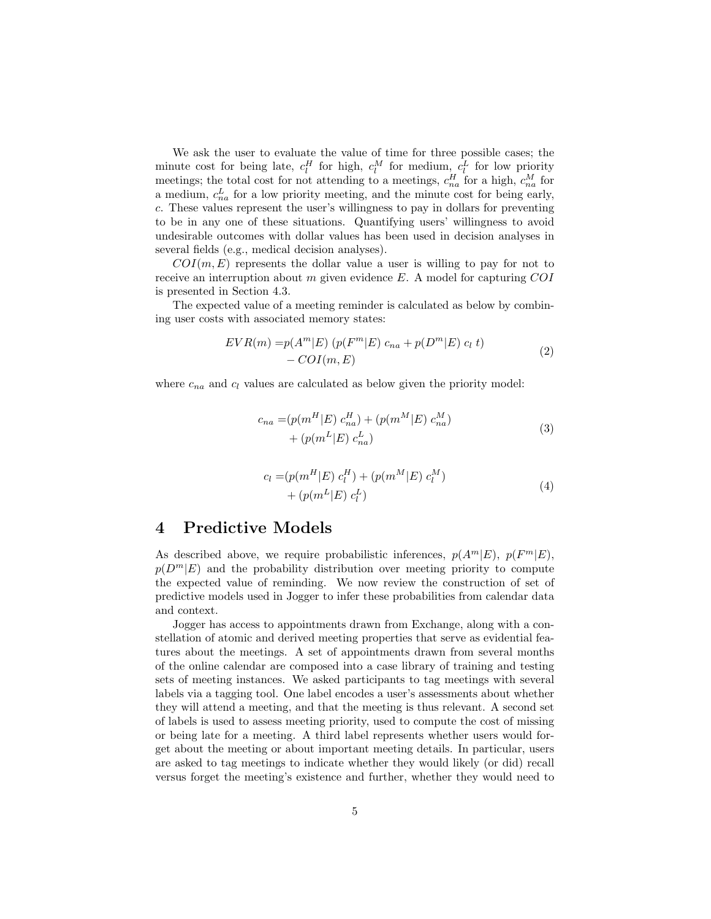We ask the user to evaluate the value of time for three possible cases; the minute cost for being late,  $c_l^H$  for high,  $c_l^M$  for medium,  $c_l^L$  for low priority meetings; the total cost for not attending to a meetings,  $c_{na}^H$  for a high,  $c_{na}^M$  for a medium,  $c_{na}^L$  for a low priority meeting, and the minute cost for being early, c. These values represent the user's willingness to pay in dollars for preventing to be in any one of these situations. Quantifying users' willingness to avoid undesirable outcomes with dollar values has been used in decision analyses in several fields (e.g., medical decision analyses).

 $COI(m, E)$  represents the dollar value a user is willing to pay for not to receive an interruption about m given evidence  $E$ . A model for capturing  $COI$ is presented in Section 4.3.

The expected value of a meeting reminder is calculated as below by combining user costs with associated memory states:

$$
EVR(m) = p(Am|E) (p(Fm|E) cna + p(Dm|E) cl t)
$$
  
- 
$$
COI(m, E)
$$
 (2)

where  $c_{na}$  and  $c_l$  values are calculated as below given the priority model:

$$
c_{na} = (p(m^H | E) c_{na}^H) + (p(m^M | E) c_{na}^M) + (p(m^L | E) c_{na}^L)
$$
\n(3)

$$
c_l = (p(m^H | E) c_l^H) + (p(m^M | E) c_l^M) + (p(m^L | E) c_l^L)
$$
\n(4)

### 4 Predictive Models

As described above, we require probabilistic inferences,  $p(A^m|E)$ ,  $p(F^m|E)$ ,  $p(D^m|E)$  and the probability distribution over meeting priority to compute the expected value of reminding. We now review the construction of set of predictive models used in Jogger to infer these probabilities from calendar data and context.

Jogger has access to appointments drawn from Exchange, along with a constellation of atomic and derived meeting properties that serve as evidential features about the meetings. A set of appointments drawn from several months of the online calendar are composed into a case library of training and testing sets of meeting instances. We asked participants to tag meetings with several labels via a tagging tool. One label encodes a user's assessments about whether they will attend a meeting, and that the meeting is thus relevant. A second set of labels is used to assess meeting priority, used to compute the cost of missing or being late for a meeting. A third label represents whether users would forget about the meeting or about important meeting details. In particular, users are asked to tag meetings to indicate whether they would likely (or did) recall versus forget the meeting's existence and further, whether they would need to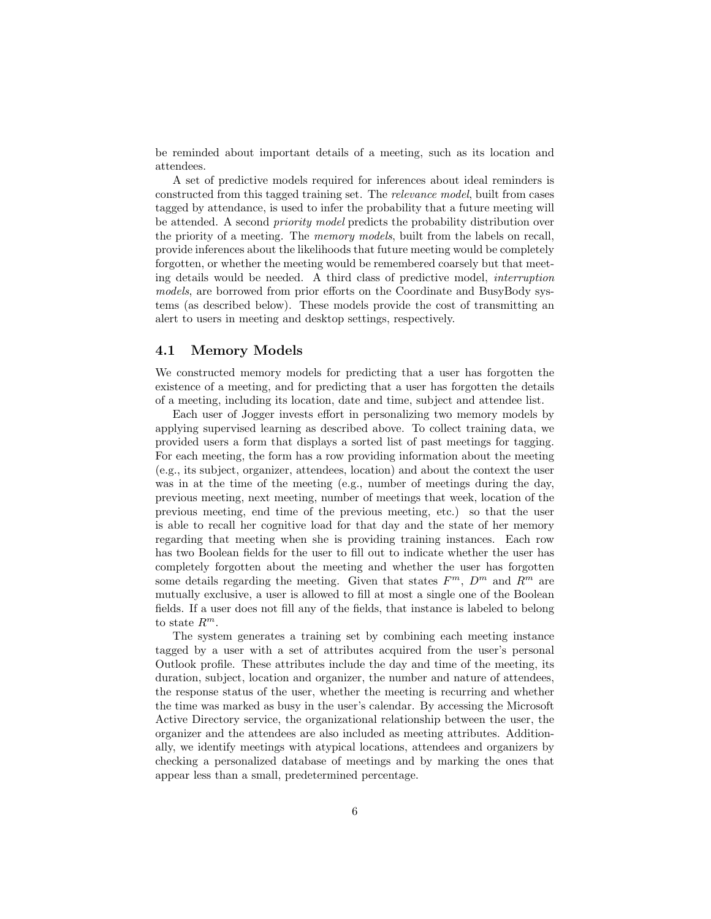be reminded about important details of a meeting, such as its location and attendees.

A set of predictive models required for inferences about ideal reminders is constructed from this tagged training set. The relevance model, built from cases tagged by attendance, is used to infer the probability that a future meeting will be attended. A second priority model predicts the probability distribution over the priority of a meeting. The memory models, built from the labels on recall, provide inferences about the likelihoods that future meeting would be completely forgotten, or whether the meeting would be remembered coarsely but that meeting details would be needed. A third class of predictive model, interruption models, are borrowed from prior efforts on the Coordinate and BusyBody systems (as described below). These models provide the cost of transmitting an alert to users in meeting and desktop settings, respectively.

### 4.1 Memory Models

We constructed memory models for predicting that a user has forgotten the existence of a meeting, and for predicting that a user has forgotten the details of a meeting, including its location, date and time, subject and attendee list.

Each user of Jogger invests effort in personalizing two memory models by applying supervised learning as described above. To collect training data, we provided users a form that displays a sorted list of past meetings for tagging. For each meeting, the form has a row providing information about the meeting (e.g., its subject, organizer, attendees, location) and about the context the user was in at the time of the meeting (e.g., number of meetings during the day, previous meeting, next meeting, number of meetings that week, location of the previous meeting, end time of the previous meeting, etc.) so that the user is able to recall her cognitive load for that day and the state of her memory regarding that meeting when she is providing training instances. Each row has two Boolean fields for the user to fill out to indicate whether the user has completely forgotten about the meeting and whether the user has forgotten some details regarding the meeting. Given that states  $F^m$ ,  $D^m$  and  $R^m$  are mutually exclusive, a user is allowed to fill at most a single one of the Boolean fields. If a user does not fill any of the fields, that instance is labeled to belong to state  $R^m$ .

The system generates a training set by combining each meeting instance tagged by a user with a set of attributes acquired from the user's personal Outlook profile. These attributes include the day and time of the meeting, its duration, subject, location and organizer, the number and nature of attendees, the response status of the user, whether the meeting is recurring and whether the time was marked as busy in the user's calendar. By accessing the Microsoft Active Directory service, the organizational relationship between the user, the organizer and the attendees are also included as meeting attributes. Additionally, we identify meetings with atypical locations, attendees and organizers by checking a personalized database of meetings and by marking the ones that appear less than a small, predetermined percentage.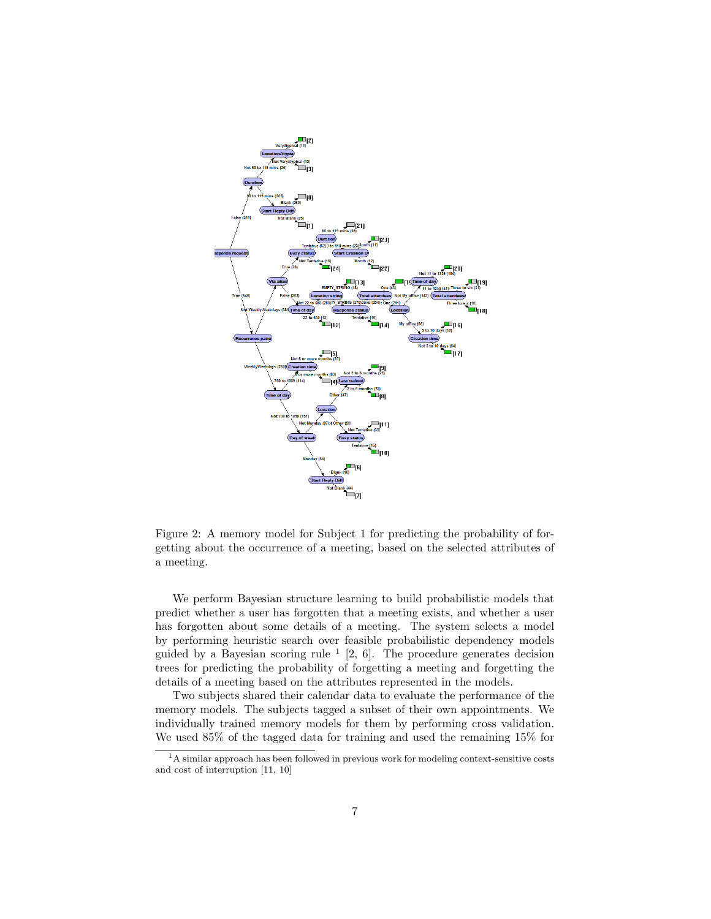

Figure 2: A memory model for Subject 1 for predicting the probability of forgetting about the occurrence of a meeting, based on the selected attributes of a meeting.

We perform Bayesian structure learning to build probabilistic models that predict whether a user has forgotten that a meeting exists, and whether a user has forgotten about some details of a meeting. The system selects a model by performing heuristic search over feasible probabilistic dependency models guided by a Bayesian scoring rule  $\frac{1}{2}$ , 6. The procedure generates decision trees for predicting the probability of forgetting a meeting and forgetting the details of a meeting based on the attributes represented in the models.

Two subjects shared their calendar data to evaluate the performance of the memory models. The subjects tagged a subset of their own appointments. We individually trained memory models for them by performing cross validation. We used 85% of the tagged data for training and used the remaining 15% for

<sup>1</sup>A similar approach has been followed in previous work for modeling context-sensitive costs and cost of interruption [11, 10]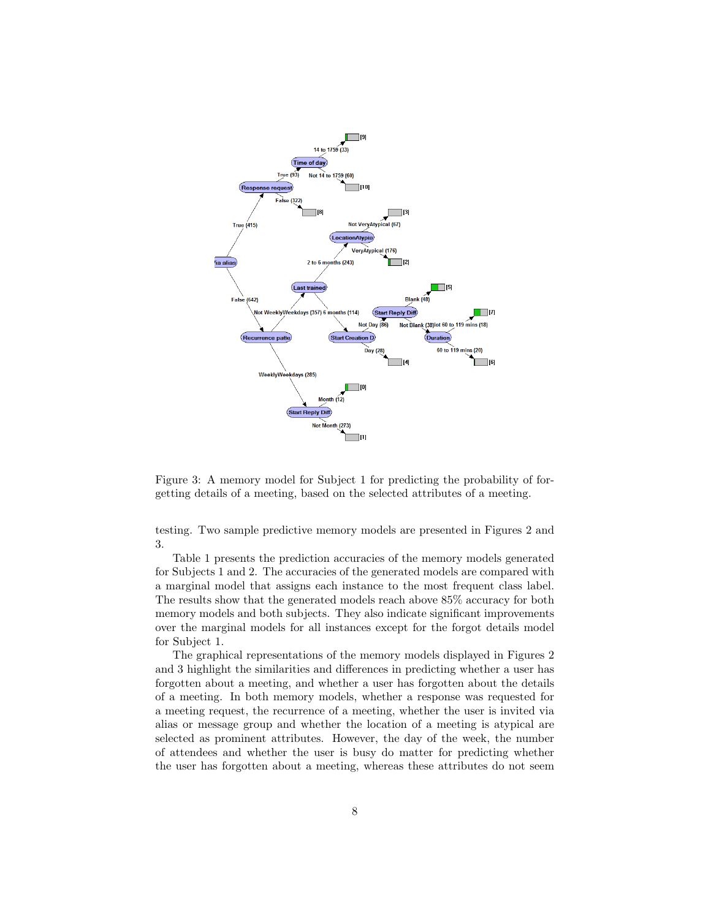

Figure 3: A memory model for Subject 1 for predicting the probability of forgetting details of a meeting, based on the selected attributes of a meeting.

testing. Two sample predictive memory models are presented in Figures 2 and 3.

Table 1 presents the prediction accuracies of the memory models generated for Subjects 1 and 2. The accuracies of the generated models are compared with a marginal model that assigns each instance to the most frequent class label. The results show that the generated models reach above 85% accuracy for both memory models and both subjects. They also indicate significant improvements over the marginal models for all instances except for the forgot details model for Subject 1.

The graphical representations of the memory models displayed in Figures 2 and 3 highlight the similarities and differences in predicting whether a user has forgotten about a meeting, and whether a user has forgotten about the details of a meeting. In both memory models, whether a response was requested for a meeting request, the recurrence of a meeting, whether the user is invited via alias or message group and whether the location of a meeting is atypical are selected as prominent attributes. However, the day of the week, the number of attendees and whether the user is busy do matter for predicting whether the user has forgotten about a meeting, whereas these attributes do not seem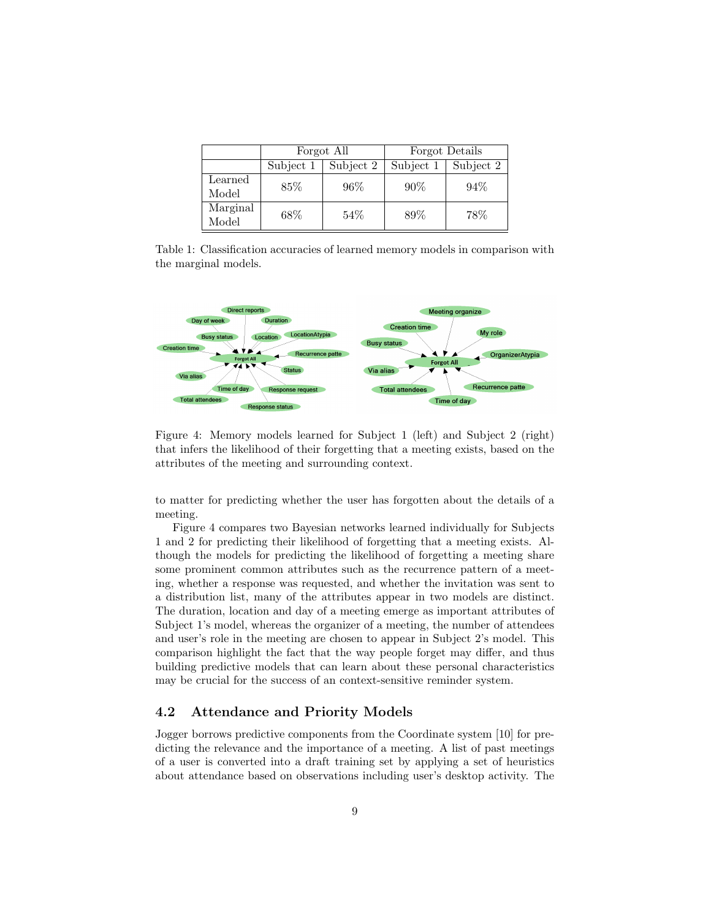|                   | Forgot All |           | Forgot Details |           |
|-------------------|------------|-----------|----------------|-----------|
|                   | Subject 1  | Subject 2 | Subject 1      | Subject 2 |
| Learned<br>Model  | 85\%       | 96%       | 90%            | 94%       |
| Marginal<br>Model | 68\%       | 54%       | 89%            | 78%       |

Table 1: Classification accuracies of learned memory models in comparison with the marginal models.



Figure 4: Memory models learned for Subject 1 (left) and Subject 2 (right) that infers the likelihood of their forgetting that a meeting exists, based on the attributes of the meeting and surrounding context.

to matter for predicting whether the user has forgotten about the details of a meeting.

Figure 4 compares two Bayesian networks learned individually for Subjects 1 and 2 for predicting their likelihood of forgetting that a meeting exists. Although the models for predicting the likelihood of forgetting a meeting share some prominent common attributes such as the recurrence pattern of a meeting, whether a response was requested, and whether the invitation was sent to a distribution list, many of the attributes appear in two models are distinct. The duration, location and day of a meeting emerge as important attributes of Subject 1's model, whereas the organizer of a meeting, the number of attendees and user's role in the meeting are chosen to appear in Subject 2's model. This comparison highlight the fact that the way people forget may differ, and thus building predictive models that can learn about these personal characteristics may be crucial for the success of an context-sensitive reminder system.

### 4.2 Attendance and Priority Models

Jogger borrows predictive components from the Coordinate system [10] for predicting the relevance and the importance of a meeting. A list of past meetings of a user is converted into a draft training set by applying a set of heuristics about attendance based on observations including user's desktop activity. The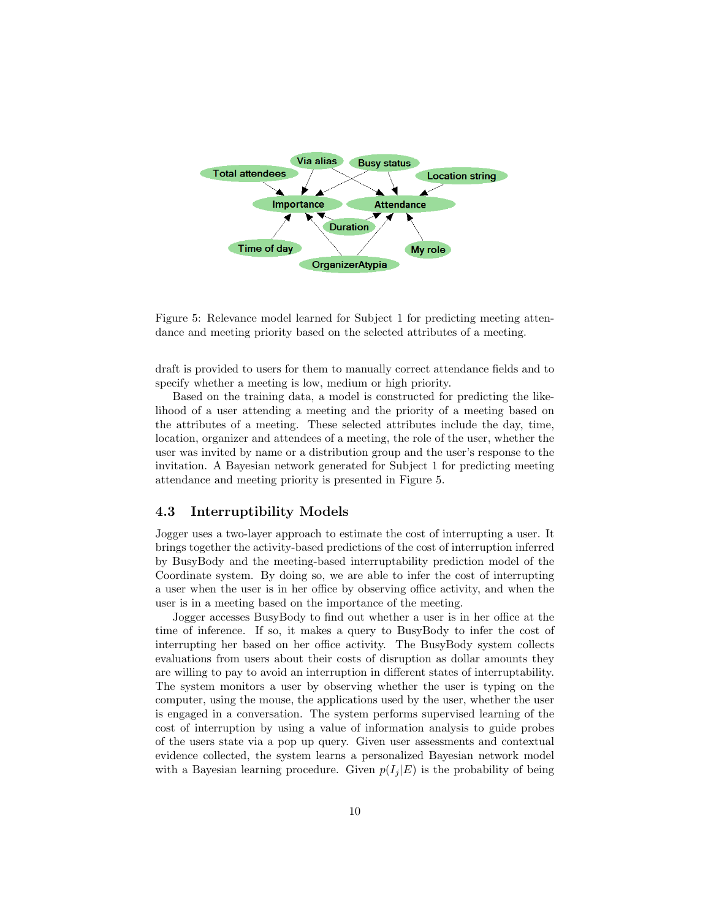

Figure 5: Relevance model learned for Subject 1 for predicting meeting attendance and meeting priority based on the selected attributes of a meeting.

draft is provided to users for them to manually correct attendance fields and to specify whether a meeting is low, medium or high priority.

Based on the training data, a model is constructed for predicting the likelihood of a user attending a meeting and the priority of a meeting based on the attributes of a meeting. These selected attributes include the day, time, location, organizer and attendees of a meeting, the role of the user, whether the user was invited by name or a distribution group and the user's response to the invitation. A Bayesian network generated for Subject 1 for predicting meeting attendance and meeting priority is presented in Figure 5.

#### 4.3 Interruptibility Models

Jogger uses a two-layer approach to estimate the cost of interrupting a user. It brings together the activity-based predictions of the cost of interruption inferred by BusyBody and the meeting-based interruptability prediction model of the Coordinate system. By doing so, we are able to infer the cost of interrupting a user when the user is in her office by observing office activity, and when the user is in a meeting based on the importance of the meeting.

Jogger accesses BusyBody to find out whether a user is in her office at the time of inference. If so, it makes a query to BusyBody to infer the cost of interrupting her based on her office activity. The BusyBody system collects evaluations from users about their costs of disruption as dollar amounts they are willing to pay to avoid an interruption in different states of interruptability. The system monitors a user by observing whether the user is typing on the computer, using the mouse, the applications used by the user, whether the user is engaged in a conversation. The system performs supervised learning of the cost of interruption by using a value of information analysis to guide probes of the users state via a pop up query. Given user assessments and contextual evidence collected, the system learns a personalized Bayesian network model with a Bayesian learning procedure. Given  $p(I_i | E)$  is the probability of being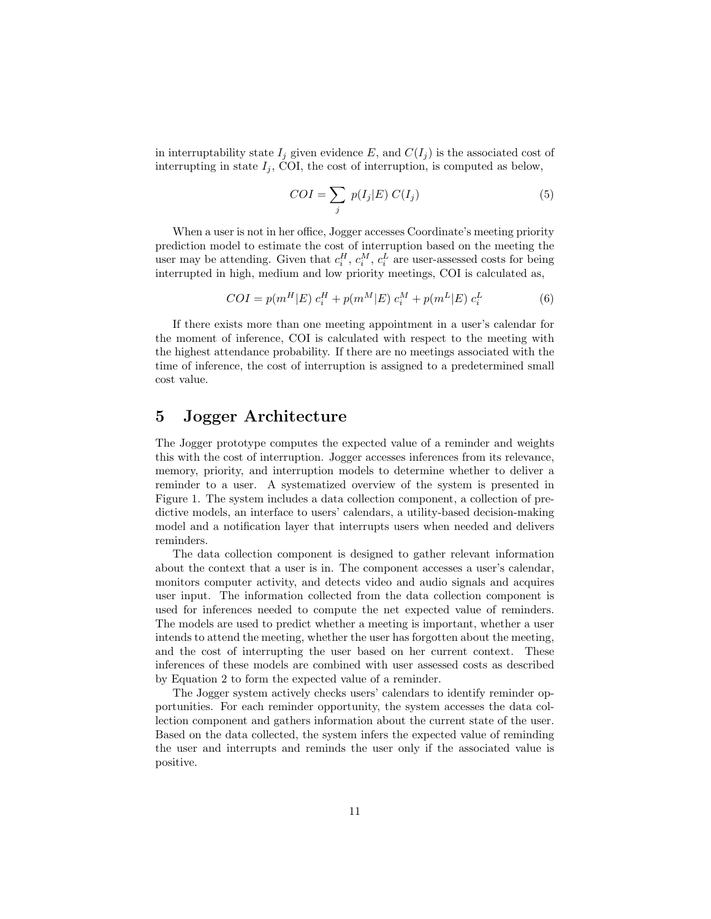in interruptability state  $I_j$  given evidence E, and  $C(I_j)$  is the associated cost of interrupting in state  $I_i$ , COI, the cost of interruption, is computed as below,

$$
COI = \sum_{j} p(I_j|E) C(I_j)
$$
 (5)

When a user is not in her office, Jogger accesses Coordinate's meeting priority prediction model to estimate the cost of interruption based on the meeting the user may be attending. Given that  $c_i^H$ ,  $c_i^M$ ,  $c_i^L$  are user-assessed costs for being interrupted in high, medium and low priority meetings, COI is calculated as,

$$
COI = p(m^H | E) c_i^H + p(m^M | E) c_i^M + p(m^L | E) c_i^L
$$
 (6)

If there exists more than one meeting appointment in a user's calendar for the moment of inference, COI is calculated with respect to the meeting with the highest attendance probability. If there are no meetings associated with the time of inference, the cost of interruption is assigned to a predetermined small cost value.

## 5 Jogger Architecture

The Jogger prototype computes the expected value of a reminder and weights this with the cost of interruption. Jogger accesses inferences from its relevance, memory, priority, and interruption models to determine whether to deliver a reminder to a user. A systematized overview of the system is presented in Figure 1. The system includes a data collection component, a collection of predictive models, an interface to users' calendars, a utility-based decision-making model and a notification layer that interrupts users when needed and delivers reminders.

The data collection component is designed to gather relevant information about the context that a user is in. The component accesses a user's calendar, monitors computer activity, and detects video and audio signals and acquires user input. The information collected from the data collection component is used for inferences needed to compute the net expected value of reminders. The models are used to predict whether a meeting is important, whether a user intends to attend the meeting, whether the user has forgotten about the meeting, and the cost of interrupting the user based on her current context. These inferences of these models are combined with user assessed costs as described by Equation 2 to form the expected value of a reminder.

The Jogger system actively checks users' calendars to identify reminder opportunities. For each reminder opportunity, the system accesses the data collection component and gathers information about the current state of the user. Based on the data collected, the system infers the expected value of reminding the user and interrupts and reminds the user only if the associated value is positive.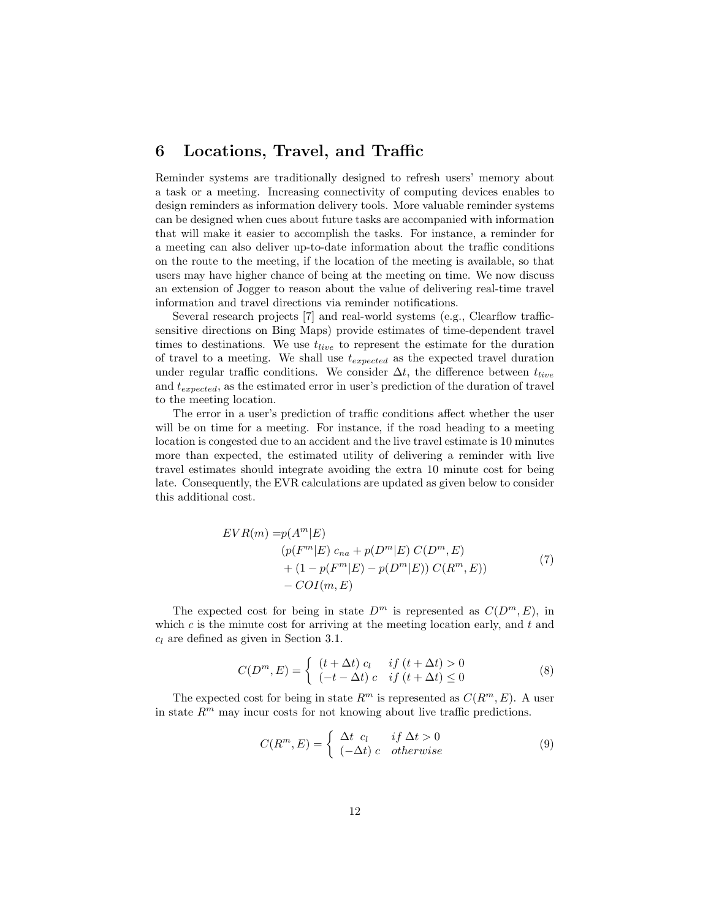## 6 Locations, Travel, and Traffic

Reminder systems are traditionally designed to refresh users' memory about a task or a meeting. Increasing connectivity of computing devices enables to design reminders as information delivery tools. More valuable reminder systems can be designed when cues about future tasks are accompanied with information that will make it easier to accomplish the tasks. For instance, a reminder for a meeting can also deliver up-to-date information about the traffic conditions on the route to the meeting, if the location of the meeting is available, so that users may have higher chance of being at the meeting on time. We now discuss an extension of Jogger to reason about the value of delivering real-time travel information and travel directions via reminder notifications.

Several research projects [7] and real-world systems (e.g., Clearflow trafficsensitive directions on Bing Maps) provide estimates of time-dependent travel times to destinations. We use  $t_{live}$  to represent the estimate for the duration of travel to a meeting. We shall use  $t_{expected}$  as the expected travel duration under regular traffic conditions. We consider  $\Delta t$ , the difference between  $t_{live}$ and  $t_{expected}$ , as the estimated error in user's prediction of the duration of travel to the meeting location.

The error in a user's prediction of traffic conditions affect whether the user will be on time for a meeting. For instance, if the road heading to a meeting location is congested due to an accident and the live travel estimate is 10 minutes more than expected, the estimated utility of delivering a reminder with live travel estimates should integrate avoiding the extra 10 minute cost for being late. Consequently, the EVR calculations are updated as given below to consider this additional cost.

$$
EVR(m) = p(A^{m}|E)
$$
  
\n
$$
(p(F^{m}|E) c_{na} + p(D^{m}|E) C(D^{m}, E)
$$
  
\n
$$
+ (1 - p(F^{m}|E) - p(D^{m}|E)) C(R^{m}, E))
$$
  
\n
$$
- COI(m, E)
$$
\n(7)

The expected cost for being in state  $D^m$  is represented as  $C(D^m, E)$ , in which  $c$  is the minute cost for arriving at the meeting location early, and  $t$  and  $c_l$  are defined as given in Section 3.1.

$$
C(Dm, E) = \begin{cases} (t + \Delta t) c_l & if (t + \Delta t) > 0 \\ (-t - \Delta t) c & if (t + \Delta t) \le 0 \end{cases}
$$
 (8)

The expected cost for being in state  $R^m$  is represented as  $C(R^m, E)$ . A user in state  $R^m$  may incur costs for not knowing about live traffic predictions.

$$
C(R^m, E) = \begin{cases} \Delta t & c_l \quad \text{if } \Delta t > 0\\ (-\Delta t) & c \quad \text{otherwise} \end{cases}
$$
 (9)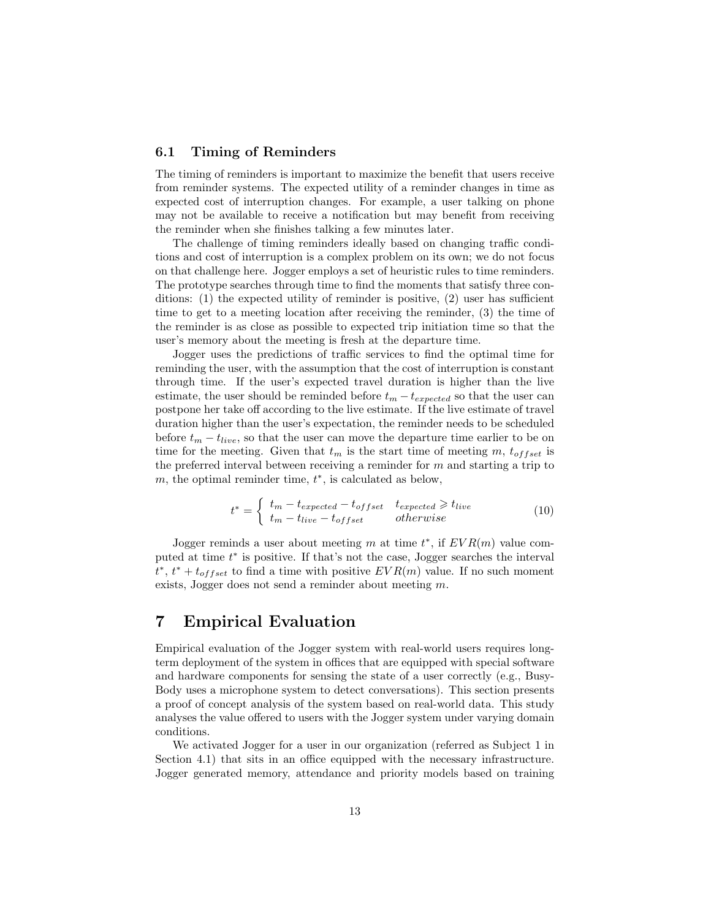#### 6.1 Timing of Reminders

The timing of reminders is important to maximize the benefit that users receive from reminder systems. The expected utility of a reminder changes in time as expected cost of interruption changes. For example, a user talking on phone may not be available to receive a notification but may benefit from receiving the reminder when she finishes talking a few minutes later.

The challenge of timing reminders ideally based on changing traffic conditions and cost of interruption is a complex problem on its own; we do not focus on that challenge here. Jogger employs a set of heuristic rules to time reminders. The prototype searches through time to find the moments that satisfy three conditions: (1) the expected utility of reminder is positive, (2) user has sufficient time to get to a meeting location after receiving the reminder, (3) the time of the reminder is as close as possible to expected trip initiation time so that the user's memory about the meeting is fresh at the departure time.

Jogger uses the predictions of traffic services to find the optimal time for reminding the user, with the assumption that the cost of interruption is constant through time. If the user's expected travel duration is higher than the live estimate, the user should be reminded before  $t_m - t_{expected}$  so that the user can postpone her take off according to the live estimate. If the live estimate of travel duration higher than the user's expectation, the reminder needs to be scheduled before  $t_m - t_{live}$ , so that the user can move the departure time earlier to be on time for the meeting. Given that  $t_m$  is the start time of meeting m,  $t_{offset}$  is the preferred interval between receiving a reminder for  $m$  and starting a trip to m, the optimal reminder time,  $t^*$ , is calculated as below,

$$
t^* = \begin{cases} t_m - t_{expected} - t_{offset} & t_{expected} \ge t_{live} \\ t_m - t_{live} - t_{offset} & otherwise \end{cases}
$$
 (10)

Jogger reminds a user about meeting m at time  $t^*$ , if  $EVR(m)$  value computed at time  $t^*$  is positive. If that's not the case, Jogger searches the interval  $t^*, t^* + t_{offset}$  to find a time with positive  $EVR(m)$  value. If no such moment exists, Jogger does not send a reminder about meeting m.

# 7 Empirical Evaluation

Empirical evaluation of the Jogger system with real-world users requires longterm deployment of the system in offices that are equipped with special software and hardware components for sensing the state of a user correctly (e.g., Busy-Body uses a microphone system to detect conversations). This section presents a proof of concept analysis of the system based on real-world data. This study analyses the value offered to users with the Jogger system under varying domain conditions.

We activated Jogger for a user in our organization (referred as Subject 1 in Section 4.1) that sits in an office equipped with the necessary infrastructure. Jogger generated memory, attendance and priority models based on training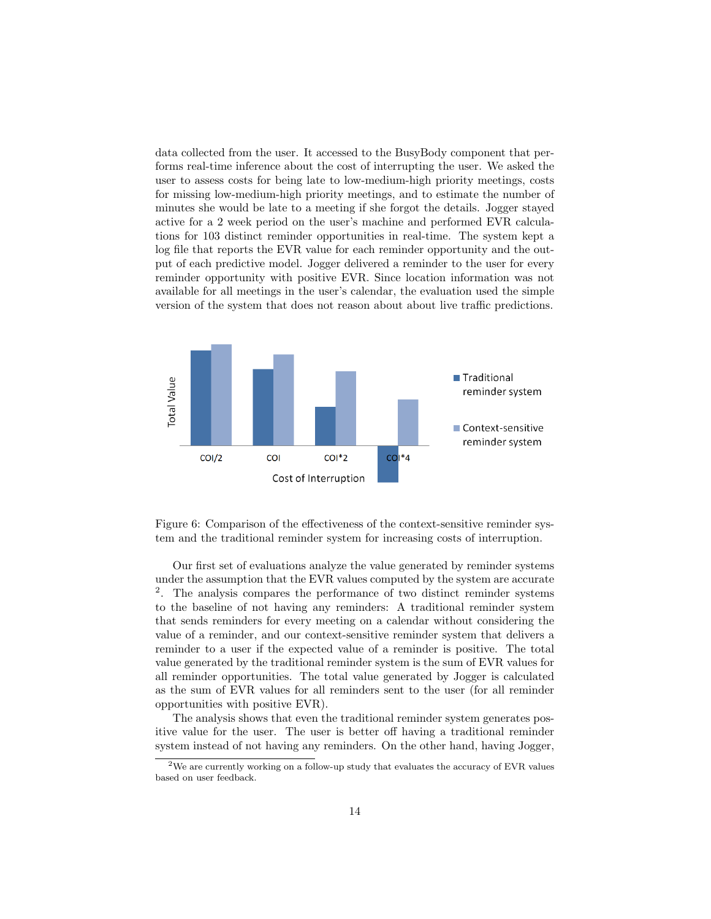data collected from the user. It accessed to the BusyBody component that performs real-time inference about the cost of interrupting the user. We asked the user to assess costs for being late to low-medium-high priority meetings, costs for missing low-medium-high priority meetings, and to estimate the number of minutes she would be late to a meeting if she forgot the details. Jogger stayed active for a 2 week period on the user's machine and performed EVR calculations for 103 distinct reminder opportunities in real-time. The system kept a log file that reports the EVR value for each reminder opportunity and the output of each predictive model. Jogger delivered a reminder to the user for every reminder opportunity with positive EVR. Since location information was not available for all meetings in the user's calendar, the evaluation used the simple version of the system that does not reason about about live traffic predictions.



Figure 6: Comparison of the effectiveness of the context-sensitive reminder system and the traditional reminder system for increasing costs of interruption.

Our first set of evaluations analyze the value generated by reminder systems under the assumption that the EVR values computed by the system are accurate <sup>2</sup>. The analysis compares the performance of two distinct reminder systems to the baseline of not having any reminders: A traditional reminder system that sends reminders for every meeting on a calendar without considering the value of a reminder, and our context-sensitive reminder system that delivers a reminder to a user if the expected value of a reminder is positive. The total value generated by the traditional reminder system is the sum of EVR values for all reminder opportunities. The total value generated by Jogger is calculated as the sum of EVR values for all reminders sent to the user (for all reminder opportunities with positive EVR).

The analysis shows that even the traditional reminder system generates positive value for the user. The user is better off having a traditional reminder system instead of not having any reminders. On the other hand, having Jogger,

<sup>2</sup>We are currently working on a follow-up study that evaluates the accuracy of EVR values based on user feedback.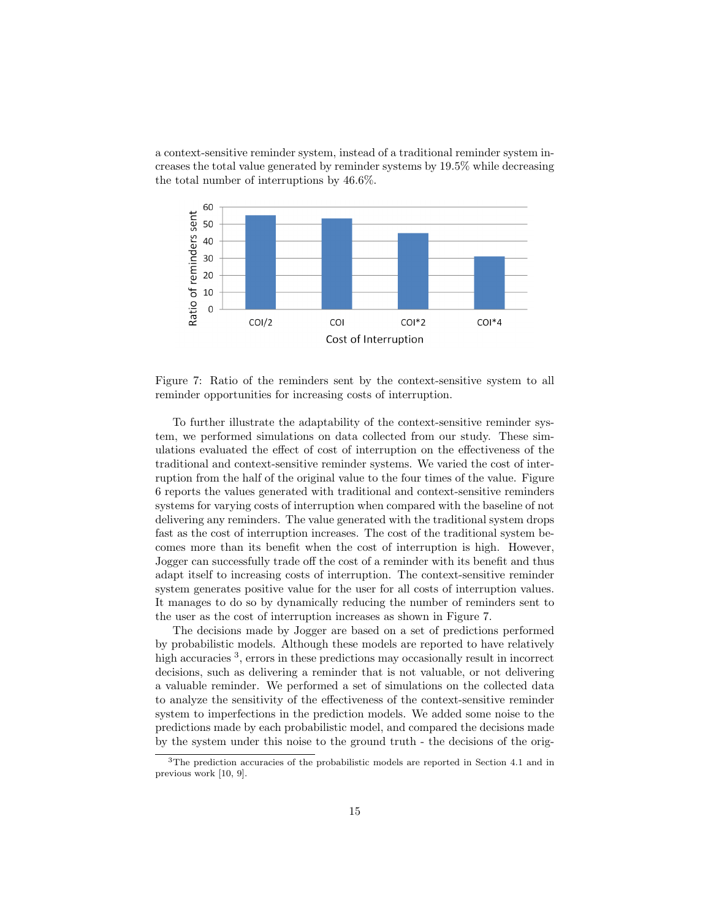a context-sensitive reminder system, instead of a traditional reminder system increases the total value generated by reminder systems by 19.5% while decreasing the total number of interruptions by 46.6%.



Figure 7: Ratio of the reminders sent by the context-sensitive system to all reminder opportunities for increasing costs of interruption.

To further illustrate the adaptability of the context-sensitive reminder system, we performed simulations on data collected from our study. These simulations evaluated the effect of cost of interruption on the effectiveness of the traditional and context-sensitive reminder systems. We varied the cost of interruption from the half of the original value to the four times of the value. Figure 6 reports the values generated with traditional and context-sensitive reminders systems for varying costs of interruption when compared with the baseline of not delivering any reminders. The value generated with the traditional system drops fast as the cost of interruption increases. The cost of the traditional system becomes more than its benefit when the cost of interruption is high. However, Jogger can successfully trade off the cost of a reminder with its benefit and thus adapt itself to increasing costs of interruption. The context-sensitive reminder system generates positive value for the user for all costs of interruption values. It manages to do so by dynamically reducing the number of reminders sent to the user as the cost of interruption increases as shown in Figure 7.

The decisions made by Jogger are based on a set of predictions performed by probabilistic models. Although these models are reported to have relatively high accuracies <sup>3</sup>, errors in these predictions may occasionally result in incorrect decisions, such as delivering a reminder that is not valuable, or not delivering a valuable reminder. We performed a set of simulations on the collected data to analyze the sensitivity of the effectiveness of the context-sensitive reminder system to imperfections in the prediction models. We added some noise to the predictions made by each probabilistic model, and compared the decisions made by the system under this noise to the ground truth - the decisions of the orig-

<sup>&</sup>lt;sup>3</sup>The prediction accuracies of the probabilistic models are reported in Section 4.1 and in previous work [10, 9].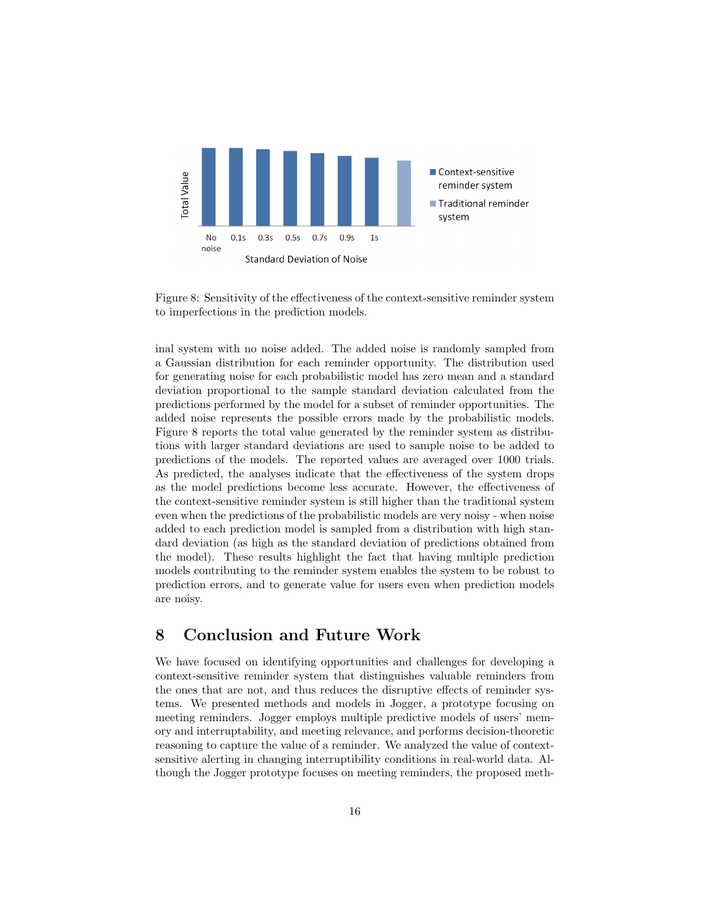

Figure 8: Sensitivity of the effectiveness of the context-sensitive reminder system to imperfections in the prediction models.

inal system with no noise added. The added noise is randomly sampled from a Gaussian distribution for each reminder opportunity. The distribution used for generating noise for each probabilistic model has zero mean and a standard deviation proportional to the sample standard deviation calculated from the predictions performed by the model for a subset of reminder opportunities. The added noise represents the possible errors made by the probabilistic models. Figure 8 reports the total value generated by the reminder system as distributions with larger standard deviations are used to sample noise to be added to predictions of the models. The reported values are averaged over 1000 trials. As predicted, the analyses indicate that the effectiveness of the system drops as the model predictions become less accurate. However, the effectiveness of the context-sensitive reminder system is still higher than the traditional system even when the predictions of the probabilistic models are very noisy - when noise added to each prediction model is sampled from a distribution with high standard deviation (as high as the standard deviation of predictions obtained from the model). These results highlight the fact that having multiple prediction models contributing to the reminder system enables the system to be robust to prediction errors, and to generate value for users even when prediction models are noisy.

### 8 Conclusion and Future Work

We have focused on identifying opportunities and challenges for developing a context-sensitive reminder system that distinguishes valuable reminders from the ones that are not, and thus reduces the disruptive effects of reminder systems. We presented methods and models in Jogger, a prototype focusing on meeting reminders. Jogger employs multiple predictive models of users' memory and interruptability, and meeting relevance, and performs decision-theoretic reasoning to capture the value of a reminder. We analyzed the value of contextsensitive alerting in changing interruptibility conditions in real-world data. Although the Jogger prototype focuses on meeting reminders, the proposed meth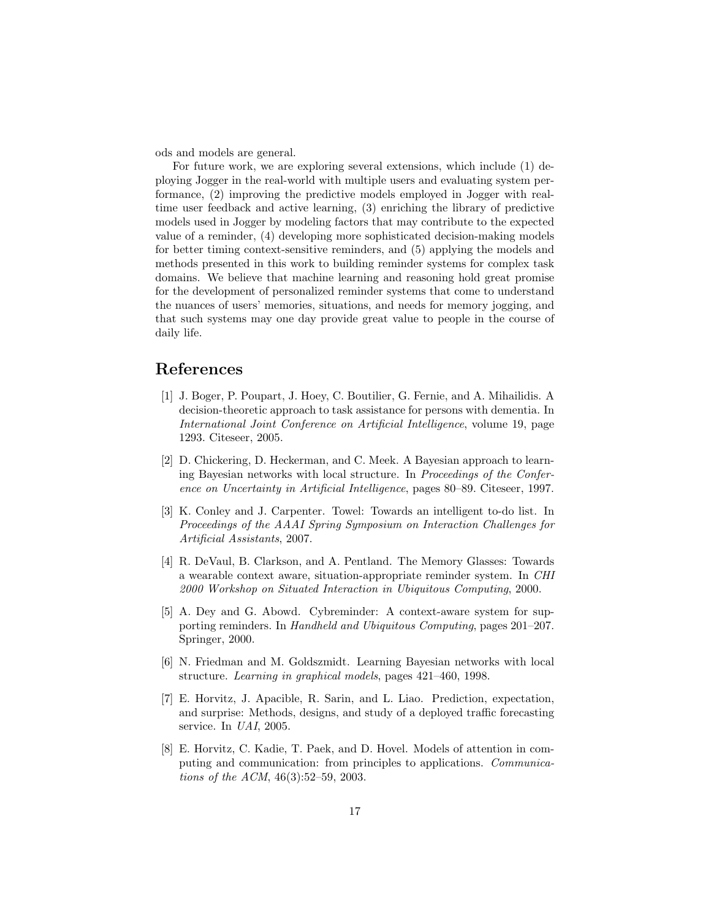ods and models are general.

For future work, we are exploring several extensions, which include (1) deploying Jogger in the real-world with multiple users and evaluating system performance, (2) improving the predictive models employed in Jogger with realtime user feedback and active learning, (3) enriching the library of predictive models used in Jogger by modeling factors that may contribute to the expected value of a reminder, (4) developing more sophisticated decision-making models for better timing context-sensitive reminders, and (5) applying the models and methods presented in this work to building reminder systems for complex task domains. We believe that machine learning and reasoning hold great promise for the development of personalized reminder systems that come to understand the nuances of users' memories, situations, and needs for memory jogging, and that such systems may one day provide great value to people in the course of daily life.

### References

- [1] J. Boger, P. Poupart, J. Hoey, C. Boutilier, G. Fernie, and A. Mihailidis. A decision-theoretic approach to task assistance for persons with dementia. In International Joint Conference on Artificial Intelligence, volume 19, page 1293. Citeseer, 2005.
- [2] D. Chickering, D. Heckerman, and C. Meek. A Bayesian approach to learning Bayesian networks with local structure. In Proceedings of the Conference on Uncertainty in Artificial Intelligence, pages 80–89. Citeseer, 1997.
- [3] K. Conley and J. Carpenter. Towel: Towards an intelligent to-do list. In Proceedings of the AAAI Spring Symposium on Interaction Challenges for Artificial Assistants, 2007.
- [4] R. DeVaul, B. Clarkson, and A. Pentland. The Memory Glasses: Towards a wearable context aware, situation-appropriate reminder system. In CHI 2000 Workshop on Situated Interaction in Ubiquitous Computing, 2000.
- [5] A. Dey and G. Abowd. Cybreminder: A context-aware system for supporting reminders. In Handheld and Ubiquitous Computing, pages 201–207. Springer, 2000.
- [6] N. Friedman and M. Goldszmidt. Learning Bayesian networks with local structure. Learning in graphical models, pages 421–460, 1998.
- [7] E. Horvitz, J. Apacible, R. Sarin, and L. Liao. Prediction, expectation, and surprise: Methods, designs, and study of a deployed traffic forecasting service. In *UAI*, 2005.
- [8] E. Horvitz, C. Kadie, T. Paek, and D. Hovel. Models of attention in computing and communication: from principles to applications. Communications of the ACM, 46(3):52–59, 2003.